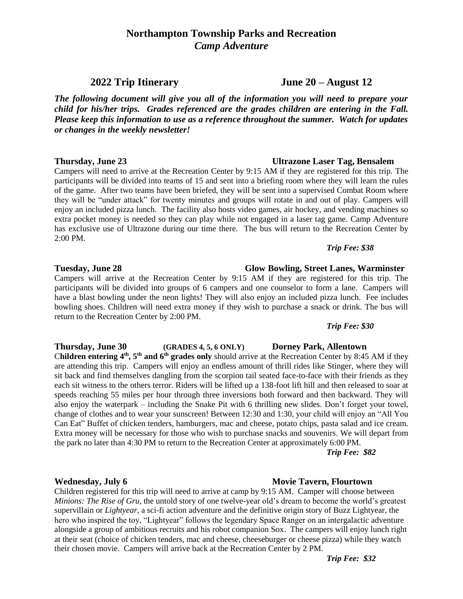# **Northampton Township Parks and Recreation** *Camp Adventure*

*The following document will give you all of the information you will need to prepare your child for his/her trips. Grades referenced are the grades children are entering in the Fall. Please keep this information to use as a reference throughout the summer. Watch for updates or changes in the weekly newsletter!*

Campers will need to arrive at the Recreation Center by 9:15 AM if they are registered for this trip. The participants will be divided into teams of 15 and sent into a briefing room where they will learn the rules of the game. After two teams have been briefed, they will be sent into a supervised Combat Room where they will be "under attack" for twenty minutes and groups will rotate in and out of play. Campers will enjoy an included pizza lunch. The facility also hosts video games, air hockey, and vending machines so extra pocket money is needed so they can play while not engaged in a laser tag game. Camp Adventure has exclusive use of Ultrazone during our time there. The bus will return to the Recreation Center by 2:00 PM.

### *Trip Fee: \$38*

### **Tuesday, June 28 Glow Bowling, Street Lanes, Warminster**

Campers will arrive at the Recreation Center by 9:15 AM if they are registered for this trip. The participants will be divided into groups of 6 campers and one counselor to form a lane. Campers will have a blast bowling under the neon lights! They will also enjoy an included pizza lunch. Fee includes bowling shoes. Children will need extra money if they wish to purchase a snack or drink. The bus will return to the Recreation Center by 2:00 PM.

### *Trip Fee: \$30*

**Thursday, June 30 (GRADES 4, 5, 6 ONLY) Dorney Park, Allentown**  C**hildren entering 4th, 5th and 6th grades only** should arrive at the Recreation Center by 8:45 AM if they are attending this trip. Campers will enjoy an endless amount of thrill rides like Stinger, where they will sit back and find themselves dangling from the scorpion tail seated face-to-face with their friends as they each sit witness to the others terror. Riders will be lifted up a 138-foot lift hill and then released to soar at speeds reaching 55 miles per hour through three inversions both forward and then backward. They will also enjoy the waterpark – including the Snake Pit with 6 thrilling new slides. Don't forget your towel, change of clothes and to wear your sunscreen! Between 12:30 and 1:30, your child will enjoy an "All You Can Eat" Buffet of chicken tenders, hamburgers, mac and cheese, potato chips, pasta salad and ice cream. Extra money will be necessary for those who wish to purchase snacks and souvenirs. We will depart from the park no later than 4:30 PM to return to the Recreation Center at approximately 6:00 PM.

*Trip Fee: \$82*

### **Wednesday, July 6 Movie Tavern, Flourtown**

Children registered for this trip will need to arrive at camp by 9:15 AM. Camper will choose between *Minions: The Rise of Gru,* the untold story of one twelve-year old's dream to become the world's greatest supervillain or *Lightyear,* a sci-fi action adventure and the definitive origin story of Buzz Lightyear, the hero who inspired the toy, "Lightyear" follows the legendary Space Ranger on an intergalactic adventure alongside a group of ambitious recruits and his robot companion Sox. The campers will enjoy lunch right at their seat (choice of chicken tenders, mac and cheese, cheeseburger or cheese pizza) while they watch their chosen movie. Campers will arrive back at the Recreation Center by 2 PM.

*Trip Fee: \$32*

# **Thursday, June 23 Ultrazone Laser Tag, Bensalem**

**2022 Trip Itinerary June 20 – August 12**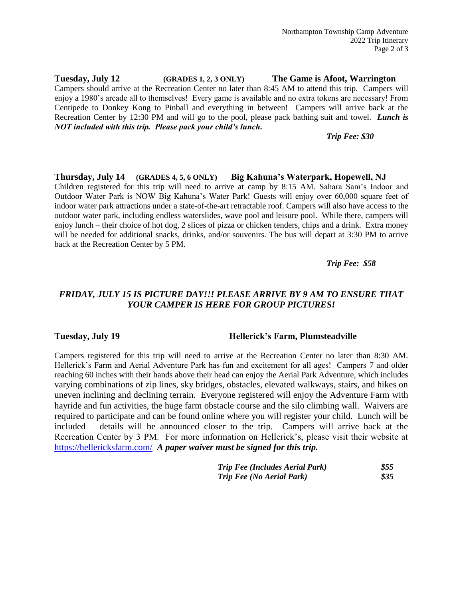**Tuesday, July 12 (GRADES 1, 2, 3 ONLY) The Game is Afoot, Warrington** Campers should arrive at the Recreation Center no later than 8:45 AM to attend this trip. Campers will enjoy a 1980's arcade all to themselves! Every game is available and no extra tokens are necessary! From Centipede to Donkey Kong to Pinball and everything in between! Campers will arrive back at the Recreation Center by 12:30 PM and will go to the pool, please pack bathing suit and towel. *Lunch is NOT included with this trip. Please pack your child's lunch.*

*Trip Fee: \$30*

**Thursday, July 14 (GRADES 4, 5, 6 ONLY) Big Kahuna's Waterpark, Hopewell, NJ** Children registered for this trip will need to arrive at camp by 8:15 AM. Sahara Sam's Indoor and Outdoor Water Park is NOW Big Kahuna's Water Park! Guests will enjoy over 60,000 square feet of indoor water park attractions under a state-of-the-art retractable roof. Campers will also have access to the outdoor water park, including endless waterslides, wave pool and leisure pool. While there, campers will enjoy lunch – their choice of hot dog, 2 slices of pizza or chicken tenders, chips and a drink. Extra money will be needed for additional snacks, drinks, and/or souvenirs. The bus will depart at 3:30 PM to arrive back at the Recreation Center by 5 PM.

*Trip Fee: \$58*

## *FRIDAY, JULY 15 IS PICTURE DAY!!! PLEASE ARRIVE BY 9 AM TO ENSURE THAT YOUR CAMPER IS HERE FOR GROUP PICTURES!*

### Tuesday, July 19 **Hellerick's Farm, Plumsteadville**

Campers registered for this trip will need to arrive at the Recreation Center no later than 8:30 AM. Hellerick's Farm and Aerial Adventure Park has fun and excitement for all ages! Campers 7 and older reaching 60 inches with their hands above their head can enjoy the Aerial Park Adventure, which includes varying combinations of zip lines, sky bridges, obstacles, elevated walkways, stairs, and hikes on uneven inclining and declining terrain. Everyone registered will enjoy the Adventure Farm with hayride and fun activities, the huge farm obstacle course and the silo climbing wall. Waivers are required to participate and can be found online where you will register your child. Lunch will be included – details will be announced closer to the trip. Campers will arrive back at the Recreation Center by 3 PM. For more information on Hellerick's, please visit their website at <https://hellericksfarm.com/>*A paper waiver must be signed for this trip.*

| <b>Trip Fee (Includes Aerial Park)</b> | \$55 |
|----------------------------------------|------|
| <b>Trip Fee (No Aerial Park)</b>       | 835  |